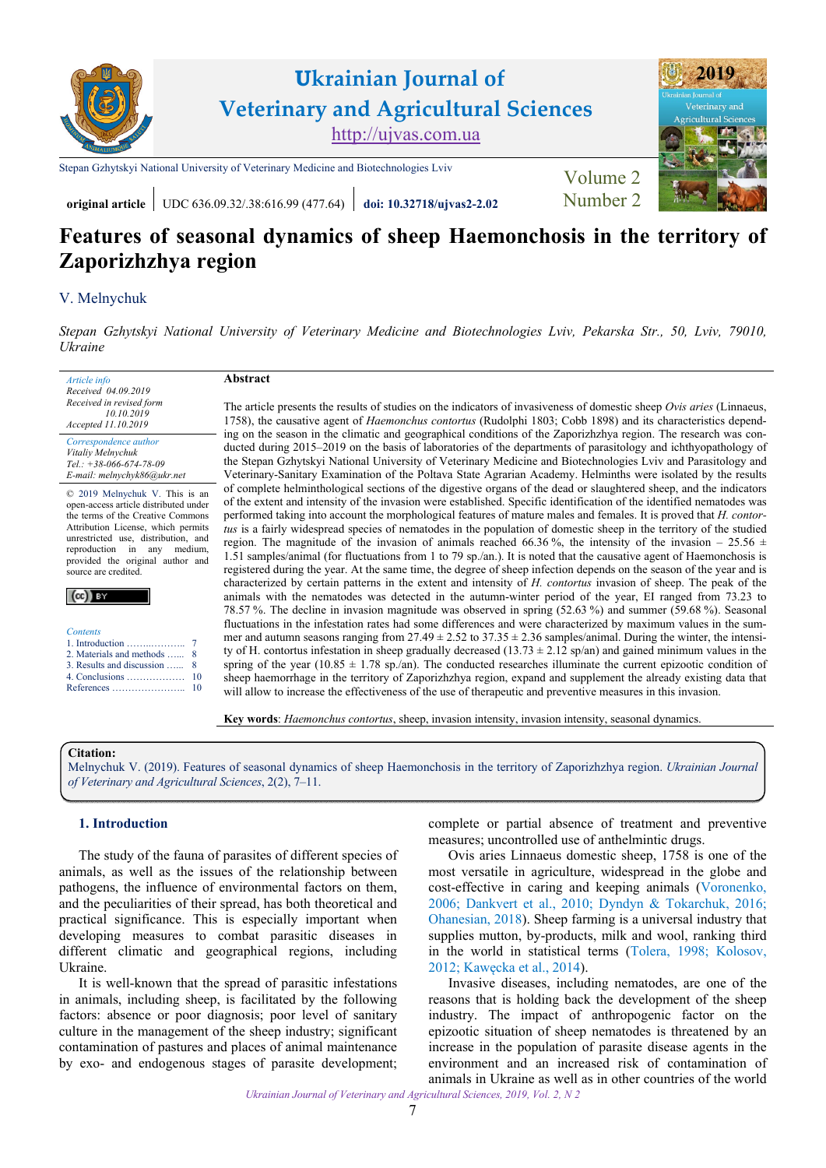

**original article** UDC 636.09.32/.38:616.99 (477.64) **[doi: 10.32718/ujvas2-2.02](https://doi.org/10.32718/ujvas2-2.02)** [Number 2](https://ujvas.com.ua/index.php/journal/issue/view/4)

# **Features of seasonal dynamics of sheep Haemonchosis in the territory of Zaporizhzhya region**

## [V. Melnychuk](https://orcid.org/0000-0003-1927-1065)

*[Stepan Gzhytskyi National University of Veterinary Medicine and Biotechnologies Lviv, Pekarska Str., 50, Lviv, 79010,](https://lvet.edu.ua)  Ukraine* 

*Article info Received 04.09.2019 Received in revised form 10.10.2019 Accepted 11.10.2019* 

*Correspondence author [Vitaliy Melnychuk](https://scholar.google.com.ua/citations?hl=ru&user=5eetWHsAAAAJ) Tel.: +38-066-674-78-09 E-mail: melnychyk86@ukr.net* 

© 2019 Melnychuk V. This is an open-access article distributed under the terms of the Creative Commons Attribution License, which permits unrestricted use, distribution, and reproduction in any medium, provided the original author and source are credited.



| <b>Contents</b>              |  |
|------------------------------|--|
|                              |  |
| 2. Materials and methods  8  |  |
| 3. Results and discussion  8 |  |
|                              |  |
|                              |  |

**Abstract** 

The article presents the results of studies on the indicators of invasiveness of domestic sheep *Ovis aries* (Linnaeus, 1758), the causative agent of *Haemonchus contortus* (Rudolphi 1803; Cobb 1898) and its characteristics depending on the season in the climatic and geographical conditions of the Zaporizhzhya region. The research was conducted during 2015–2019 on the basis of laboratories of the departments of parasitology and ichthyopathology of the Stepan Gzhytskyi National University of Veterinary Medicine and Biotechnologies Lviv and Parasitology and Veterinary-Sanitary Examination of the Poltava State Agrarian Academy. Helminths were isolated by the results of complete helminthological sections of the digestive organs of the dead or slaughtered sheep, and the indicators of the extent and intensity of the invasion were established. Specific identification of the identified nematodes was performed taking into account the morphological features of mature males and females. It is proved that *H. contortus* is a fairly widespread species of nematodes in the population of domestic sheep in the territory of the studied region. The magnitude of the invasion of animals reached 66.36%, the intensity of the invasion – 25.56  $\pm$ 1.51 samples/animal (for fluctuations from 1 to 79 sp./an.). It is noted that the causative agent of Haemonchosis is registered during the year. At the same time, the degree of sheep infection depends on the season of the year and is characterized by certain patterns in the extent and intensity of *H. contortus* invasion of sheep. The peak of the animals with the nematodes was detected in the autumn-winter period of the year, EI ranged from 73.23 to 78.57 %. The decline in invasion magnitude was observed in spring (52.63 %) and summer (59.68 %). Seasonal fluctuations in the infestation rates had some differences and were characterized by maximum values in the summer and autumn seasons ranging from  $27.49 \pm 2.52$  to  $37.35 \pm 2.36$  samples/animal. During the winter, the intensity of H. contortus infestation in sheep gradually decreased  $(13.73 \pm 2.12 \text{ sp}/\text{an})$  and gained minimum values in the spring of the year (10.85  $\pm$  1.78 sp./an). The conducted researches illuminate the current epizootic condition of sheep haemorrhage in the territory of Zaporizhzhya region, expand and supplement the already existing data that will allow to increase the effectiveness of the use of therapeutic and preventive measures in this invasion.

**Key words**: *Haemonchus contortus*, sheep, invasion intensity, invasion intensity, seasonal dynamics.

## **Citation:**

[Melnychuk V. \(2019\). Features of seasonal dynamics of sheep Haemonchosis in the territory of Zaporizhzhya region.](https://doi.org/10.32718/ujvas2-2.02) *Ukrainian Journal of Veterinary and Agricultural Sciences*, 2(2), 7–11.

## **1. Introduction**

The study of the fauna of parasites of different species of animals, as well as the issues of the relationship between pathogens, the influence of environmental factors on them, and the peculiarities of their spread, has both theoretical and practical significance. This is especially important when developing measures to combat parasitic diseases in different climatic and geographical regions, including Ukraine.

It is well-known that the spread of parasitic infestations in animals, including sheep, is facilitated by the following factors: absence or poor diagnosis; poor level of sanitary culture in the management of the sheep industry; significant contamination of pastures and places of animal maintenance by exo- and endogenous stages of parasite development; complete or partial absence of treatment and preventive measures; uncontrolled use of anthelmintic drugs.

Ovis aries Linnaeus domestic sheep, 1758 is one of the most versatile in agriculture, widespread in the globe and cost-effective in caring and keeping animals [\(Voronenko,](#page-4-0)  [2006](#page-4-0); [Dankvert et al., 2010;](#page-4-0) [Dyndyn & Tokarchuk, 2016](#page-4-0); [Ohanesian, 2018](#page-4-0)). Sheep farming is a universal industry that supplies mutton, by-products, milk and wool, ranking third in the world in statistical terms ([Tolera, 1998](#page-4-0); [Kolosov,](#page-4-0)  [2012](#page-4-0); [Kawęcka et al., 2014](#page-4-0)).

Invasive diseases, including nematodes, are one of the reasons that is holding back the development of the sheep industry. The impact of anthropogenic factor on the epizootic situation of sheep nematodes is threatened by an increase in the population of parasite disease agents in the environment and an increased risk of contamination of animals in Ukraine as well as in other countries of the world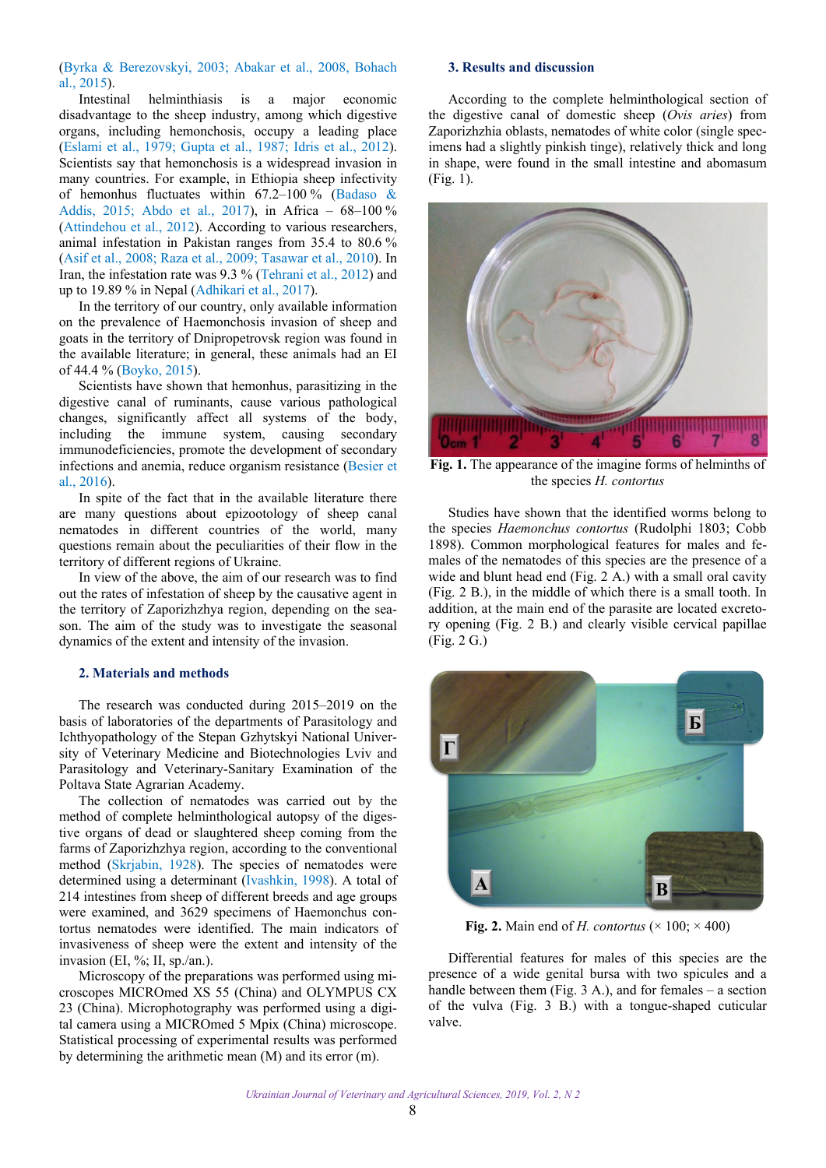<span id="page-1-0"></span>([Byrka & Berezovskyi, 2003](#page-4-0); [Abakar et al., 2008](#page-3-0), [Bohach](#page-4-0) [al., 2015](#page-4-0)).

Intestinal helminthiasis is a major economic disadvantage to the sheep industry, among which digestive organs, including hemonchosis, occupy a leading place ([Eslami et al., 1979](#page-4-0); [Gupta et al., 1987](#page-4-0); [Idris et al., 2012\)](#page-4-0). Scientists say that hemonchosis is a widespread invasion in many countries. For example, in Ethiopia sheep infectivity of hemonhus fluctuates within  $67.2-100\%$  [\(Badaso &](#page-3-0) [Addis, 2015](#page-3-0); [Abdo et al., 2017](#page-3-0)), in Africa – 68–100 % ([Attindehou et al., 2012](#page-3-0)). According to various researchers, animal infestation in Pakistan ranges from 35.4 to 80.6 % ([Asif et al., 2008](#page-3-0); [Raza et al., 2009](#page-4-0); [Tasawar et al., 2010\)](#page-4-0). In Iran, the infestation rate was 9.3 % ([Tehrani et al., 2012](#page-4-0)) and up to 19.89 % in Nepal [\(Adhikari et al., 2017\)](#page-3-0).

In the territory of our country, only available information on the prevalence of Haemonchosis invasion of sheep and goats in the territory of Dnipropetrovsk region was found in the available literature; in general, these animals had an EI of 44.4 % ([Boyko, 2015](#page-4-0)).

Scientists have shown that hemonhus, parasitizing in the digestive canal of ruminants, cause various pathological changes, significantly affect all systems of the body, including the immune system, causing secondary immunodeficiencies, promote the development of secondary infections and anemia, reduce organism resistance ([Besier et](#page-3-0) [al., 2016](#page-3-0)).

In spite of the fact that in the available literature there are many questions about epizootology of sheep canal nematodes in different countries of the world, many questions remain about the peculiarities of their flow in the territory of different regions of Ukraine.

In view of the above, the aim of our research was to find out the rates of infestation of sheep by the causative agent in the territory of Zaporizhzhya region, depending on the season. The aim of the study was to investigate the seasonal dynamics of the extent and intensity of the invasion.

## **2. Materials and methods**

The research was conducted during 2015–2019 on the basis of laboratories of the departments of Parasitology and Ichthyopathology of the Stepan Gzhytskyi National University of Veterinary Medicine and Biotechnologies Lviv and Parasitology and Veterinary-Sanitary Examination of the Poltava State Agrarian Academy.

The collection of nematodes was carried out by the method of complete helminthological autopsy of the digestive organs of dead or slaughtered sheep coming from the farms of Zaporizhzhya region, according to the conventional method ([Skrjabin, 1928\)](#page-4-0). The species of nematodes were determined using a determinant [\(Ivashkin, 1998\)](#page-4-0). A total of 214 intestines from sheep of different breeds and age groups were examined, and 3629 specimens of Haemonchus contortus nematodes were identified. The main indicators of invasiveness of sheep were the extent and intensity of the invasion (EI, %; II, sp./an.).

Microscopy of the preparations was performed using microscopes MICROmed XS 55 (China) and OLYMPUS CX 23 (China). Microphotography was performed using a digital camera using a MICROmed 5 Mpix (China) microscope. Statistical processing of experimental results was performed by determining the arithmetic mean (M) and its error (m).

## **3. Results and discussion**

According to the complete helminthological section of the digestive canal of domestic sheep (*Ovis aries*) from Zaporizhzhia oblasts, nematodes of white color (single specimens had a slightly pinkish tinge), relatively thick and long in shape, were found in the small intestine and abomasum (Fig. 1).



**Fig. 1.** The appearance of the imagine forms of helminths of the species *H. contortus*

Studies have shown that the identified worms belong to the species *Haemonchus contortus* (Rudolphi 1803; Cobb 1898). Common morphological features for males and females of the nematodes of this species are the presence of a wide and blunt head end (Fig. 2 A.) with a small oral cavity (Fig. 2 B.), in the middle of which there is a small tooth. In addition, at the main end of the parasite are located excretory opening (Fig. 2 B.) and clearly visible cervical papillae (Fig. 2 G.)



**Fig. 2.** Main end of *H. contortus* ( $\times$  100;  $\times$  400)

Differential features for males of this species are the presence of a wide genital bursa with two spicules and a handle between them (Fig.  $3$  A.), and for females – a section of the vulva (Fig. 3 B.) with a tongue-shaped cuticular valve.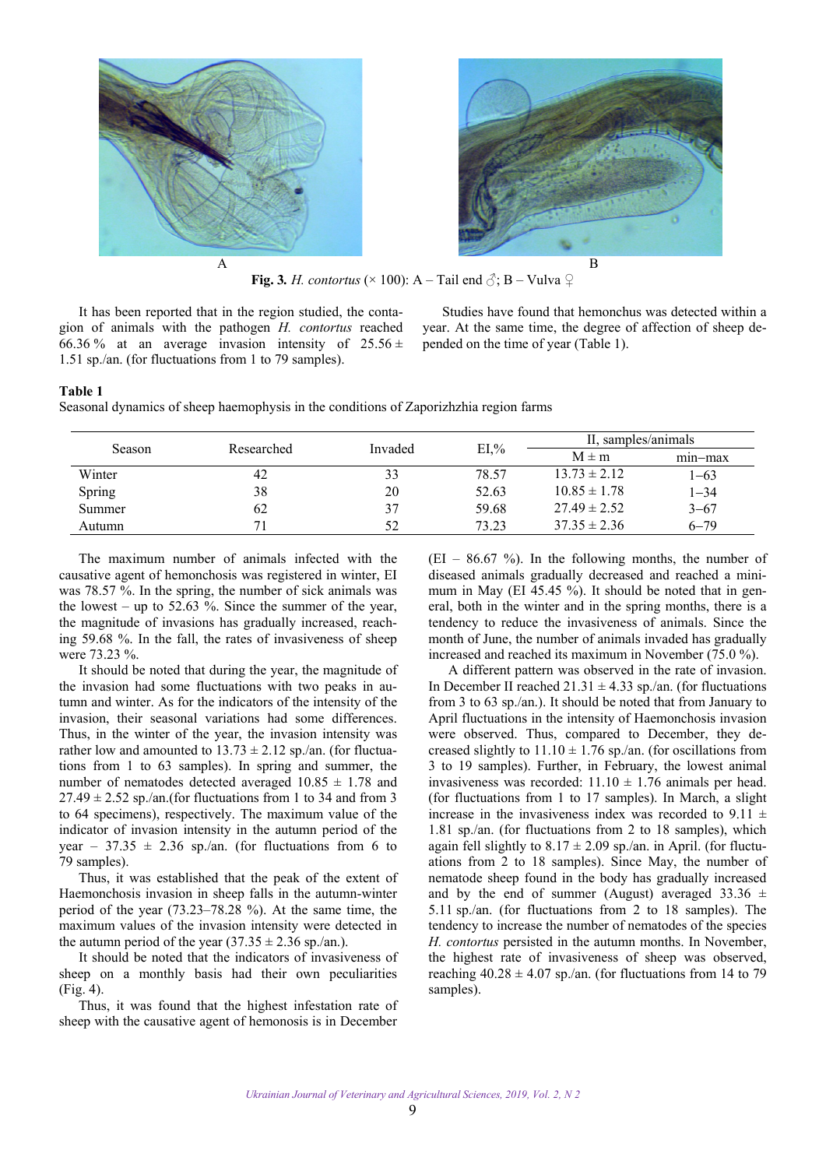



**Fig. 3.** *H. contortus* ( $\times$  100): A – Tail end  $\partial$ ; B – Vulva  $\Omega$ 

It has been reported that in the region studied, the contagion of animals with the pathogen *H. contortus* reached 66.36 % at an average invasion intensity of  $25.56 \pm$ 1.51 sp./an. (for fluctuations from 1 to 79 samples).

Studies have found that hemonchus was detected within a year. At the same time, the degree of affection of sheep depended on the time of year (Table 1).

### **Table 1**

Seasonal dynamics of sheep haemophysis in the conditions of Zaporizhzhia region farms

| <b>Season</b> | Researched | Invaded | $EI,\%$ | II. samples/animals |          |
|---------------|------------|---------|---------|---------------------|----------|
|               |            |         |         | $M \pm m$           | min-max  |
| Winter        | 42         | 33      | 78.57   | $13.73 \pm 2.12$    | $1 - 63$ |
| Spring        | 38         | 20      | 52.63   | $10.85 \pm 1.78$    | $1 - 34$ |
| Summer        | 62         | 37      | 59.68   | $27.49 \pm 2.52$    | $3 - 67$ |
| Autumn        |            |         | 73.23   | $37.35 \pm 2.36$    | $6 - 79$ |

The maximum number of animals infected with the causative agent of hemonchosis was registered in winter, EI was 78.57 %. In the spring, the number of sick animals was the lowest – up to 52.63 %. Since the summer of the year, the magnitude of invasions has gradually increased, reaching 59.68 %. In the fall, the rates of invasiveness of sheep were 73.23 %.

It should be noted that during the year, the magnitude of the invasion had some fluctuations with two peaks in autumn and winter. As for the indicators of the intensity of the invasion, their seasonal variations had some differences. Thus, in the winter of the year, the invasion intensity was rather low and amounted to  $13.73 \pm 2.12$  sp./an. (for fluctuations from 1 to 63 samples). In spring and summer, the number of nematodes detected averaged  $10.85 \pm 1.78$  and  $27.49 \pm 2.52$  sp./an.(for fluctuations from 1 to 34 and from 3 to 64 specimens), respectively. The maximum value of the indicator of invasion intensity in the autumn period of the year – 37.35  $\pm$  2.36 sp./an. (for fluctuations from 6 to 79 samples).

Thus, it was established that the peak of the extent of Haemonchosis invasion in sheep falls in the autumn-winter period of the year (73.23–78.28 %). At the same time, the maximum values of the invasion intensity were detected in the autumn period of the year  $(37.35 \pm 2.36 \text{ sp.}/\text{an.})$ .

It should be noted that the indicators of invasiveness of sheep on a monthly basis had their own peculiarities (Fig. 4).

Thus, it was found that the highest infestation rate of sheep with the causative agent of hemonosis is in December

 $(EI - 86.67 \%)$ . In the following months, the number of diseased animals gradually decreased and reached a minimum in May (EI 45.45 %). It should be noted that in general, both in the winter and in the spring months, there is a tendency to reduce the invasiveness of animals. Since the month of June, the number of animals invaded has gradually increased and reached its maximum in November (75.0 %).

A different pattern was observed in the rate of invasion. In December II reached  $21.31 \pm 4.33$  sp./an. (for fluctuations from 3 to 63 sp./an.). It should be noted that from January to April fluctuations in the intensity of Haemonchosis invasion were observed. Thus, compared to December, they decreased slightly to  $11.10 \pm 1.76$  sp./an. (for oscillations from 3 to 19 samples). Further, in February, the lowest animal invasiveness was recorded:  $11.10 \pm 1.76$  animals per head. (for fluctuations from 1 to 17 samples). In March, a slight increase in the invasiveness index was recorded to 9.11  $\pm$ 1.81 sp./an. (for fluctuations from 2 to 18 samples), which again fell slightly to  $8.17 \pm 2.09$  sp./an. in April. (for fluctuations from 2 to 18 samples). Since May, the number of nematode sheep found in the body has gradually increased and by the end of summer (August) averaged 33.36  $\pm$ 5.11 sp./an. (for fluctuations from 2 to 18 samples). The tendency to increase the number of nematodes of the species *H. contortus* persisted in the autumn months. In November, the highest rate of invasiveness of sheep was observed, reaching  $40.28 \pm 4.07$  sp./an. (for fluctuations from 14 to 79 samples).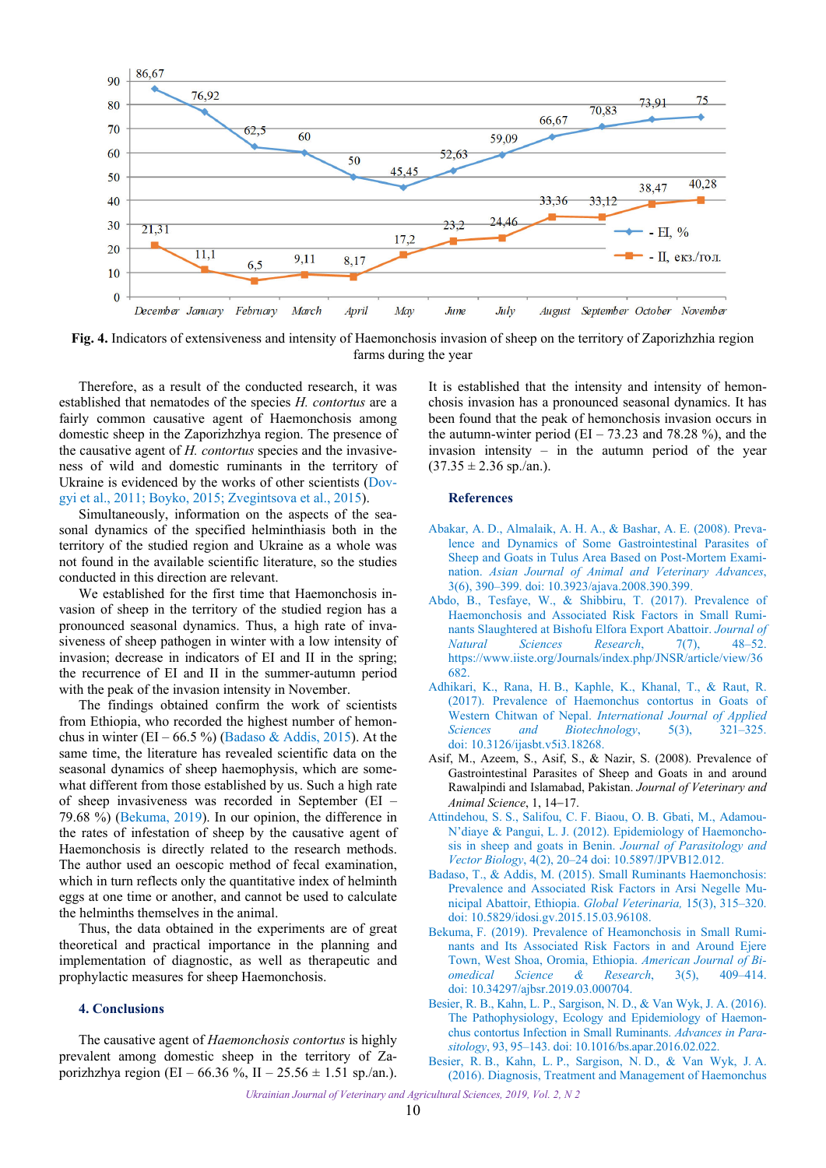<span id="page-3-0"></span>

**Fig. 4.** Indicators of extensiveness and intensity of Haemonchosis invasion of sheep on the territory of Zaporizhzhia region farms during the year

Therefore, as a result of the conducted research, it was established that nematodes of the species *H. contortus* are a fairly common causative agent of Haemonchosis among domestic sheep in the Zaporizhzhya region. The presence of the causative agent of *H. contortus* species and the invasiveness of wild and domestic ruminants in the territory of Ukraine is evidenced by the works of other scientists ([Dov](#page-4-0)[gyi et al., 2011](#page-4-0); [Boyko, 2015](#page-4-0); [Zvegintsova et al., 2015\)](#page-4-0).

Simultaneously, information on the aspects of the seasonal dynamics of the specified helminthiasis both in the territory of the studied region and Ukraine as a whole was not found in the available scientific literature, so the studies conducted in this direction are relevant.

We established for the first time that Haemonchosis invasion of sheep in the territory of the studied region has a pronounced seasonal dynamics. Thus, a high rate of invasiveness of sheep pathogen in winter with a low intensity of invasion; decrease in indicators of EI and II in the spring; the recurrence of EI and II in the summer-autumn period with the peak of the invasion intensity in November.

The findings obtained confirm the work of scientists from Ethiopia, who recorded the highest number of hemonchus in winter (EI – 66.5 %) (Badaso & Addis, 2015). At the same time, the literature has revealed scientific data on the seasonal dynamics of sheep haemophysis, which are somewhat different from those established by us. Such a high rate of sheep invasiveness was recorded in September (EI – 79.68 %) (Bekuma, 2019). In our opinion, the difference in the rates of infestation of sheep by the causative agent of Haemonchosis is directly related to the research methods. The author used an oescopic method of fecal examination, which in turn reflects only the quantitative index of helminth eggs at one time or another, and cannot be used to calculate the helminths themselves in the animal.

Thus, the data obtained in the experiments are of great theoretical and practical importance in the planning and implementation of diagnostic, as well as therapeutic and prophylactic measures for sheep Haemonchosis.

## **4. Conclusions**

The causative agent of *Haemonchosis contortus* is highly prevalent among domestic sheep in the territory of Zaporizhzhya region (EI – 66.36 %, II – 25.56  $\pm$  1.51 sp./an.).

It is established that the intensity and intensity of hemonchosis invasion has a pronounced seasonal dynamics. It has been found that the peak of hemonchosis invasion occurs in the autumn-winter period (EI – 73.23 and 78.28 %), and the invasion intensity – in the autumn period of the year  $(37.35 \pm 2.36 \text{ sp./an.}).$ 

#### **References**

- [Abakar, A. D., Almalaik, A. H. A., & Bashar, A. E. \(2008\). Preva](https://doi.org/10.3923/ajava.2008.390.399)lence and Dynamics of Some Gastrointestinal Parasites of Sheep and Goats in Tulus Area Based on Post-Mortem Examination. *Asian Journal of Animal and Veterinary Advances*, 3(6), 390–399. doi: 10.3923/ajava.2008.390.399.
- [Abdo, B., Tesfaye, W., & Shibbiru, T. \(2017\). Prevalence of](https://www.iiste.org/Journals/index.php/JNSR/article/view/36682)  Haemonchosis and Associated Risk Factors in Small Ruminants Slaughtered at Bishofu Elfora Export Abattoir. *Journal of Natural Sciences Research*, 7(7), 48–52. https://www.iiste.org/Journals/index.php/JNSR/article/view/36 682.
- [Adhikari, K., Rana, H. B., Kaphle, K., Khanal, T., & Raut, R.](https://doi.org/10.3126/ijasbt.v5i3.18268)  (2017). Prevalence of Haemonchus contortus in Goats of Western Chitwan of Nepal. *International Journal of Applied Sciences and Biotechnology*, 5(3), 321–325. doi: 10.3126/ijasbt.v5i3.18268.
- Asif, M., Azeem, S., Asif, S., & Nazir, S. (2008). Prevalence of Gastrointestinal Parasites of Sheep and Goats in and around Rawalpindi and Islamabad, Pakistan. *Journal of Veterinary and Animal Science*, 1, 14-17.
- [Attindehou, S. S., Salifou, C. F. Biaou, O. B. Gbati, M., Adamou-](https://pdfs.semanticscholar.org/2fcc/90f12a1b93dd7453a4b0370ab01293e464c7.pdf)N'diaye & Pangui, L. J. (2012). Epidemiology of Haemonchosis in sheep and goats in Benin. *Journal of Parasitology and Vector Biology*, 4(2), 20–24 doi: 10.5897/JPVB12.012.
- [Badaso, T., & Addis, M. \(2015\). Small Ruminants Haemonchosis:](https://www.idosi.org/gv/gv15(3)15/9.pdf)  Prevalence and Associated Risk Factors in Arsi Negelle Municipal Abattoir, Ethiopia. *Global Veterinaria,* 15(3), 315–320. doi: 10.5829/idosi.gv.2015.15.03.96108.
- [Bekuma, F. \(2019\). Prevalence of Heamonchosis in Small Rumi](https://doi.org/10.34297/ajbsr.2019.03.000704)nants and Its Associated Risk Factors in and Around Ejere Town, West Shoa, Oromia, Ethiopia. *American Journal of Biomedical Science & Research*, 3(5), 409–414. doi: 10.34297/ajbsr.2019.03.000704.
- [Besier, R. B., Kahn, L. P., Sargison, N. D., & Van Wyk, J. A. \(2016\).](https://doi.org/10.1016/bs.apar.2016.02.022)  The Pathophysiology, Ecology and Epidemiology of Haemonchus contortus Infection in Small Ruminants. *Advances in Parasitology*, 93, 95–143. doi: 10.1016/bs.apar.2016.02.022.
- [Besier, R. B., Kahn, L. P., Sargison, N. D., & Van Wyk, J. A.](https://doi.org/10.1016/bs.apar.2016.02.024)  (2016). Diagnosis, Treatment and Management of Haemonchus